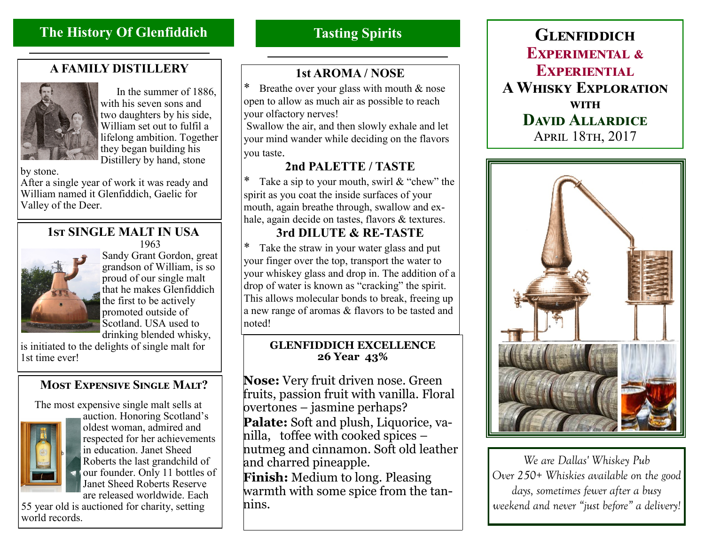# **The History Of Glenfiddich**

## **A FAMILY DISTILLERY**



 In the summer of 1886, with his seven sons and two daughters by his side, William set out to fulfil a lifelong ambition. Together they began building his Distillery by hand, stone

by stone.

After a single year of work it was ready and William named it Glenfiddich, Gaelic for Valley of the Deer.

#### **1st SINGLE MALT IN USA** 1963



Sandy Grant Gordon, great grandson of William, is so proud of our single malt that he makes Glenfiddich the first to be actively promoted outside of Scotland. USA used to drinking blended whisky,

is initiated to the delights of single malt for 1st time ever!

### **Most Expensive Single Malt?**

The most expensive single malt sells at



auction. Honoring Scotland's oldest woman, admired and respected for her achievements in education. Janet Sheed Roberts the last grandchild of our founder. Only 11 bottles of Janet Sheed Roberts Reserve are released worldwide. Each

55 year old is auctioned for charity, setting world records.

# **Tasting Spirits**

### **1st AROMA / NOSE**

Breathe over your glass with mouth  $&$  nose open to allow as much air as possible to reach your olfactory nerves!

Swallow the air, and then slowly exhale and let your mind wander while deciding on the flavors you taste.

### **2nd PALETTE / TASTE**

Take a sip to your mouth, swirl  $&$  "chew" the spirit as you coat the inside surfaces of your mouth, again breathe through, swallow and exhale, again decide on tastes, flavors & textures.

### **3rd DILUTE & RE-TASTE**

Take the straw in your water glass and put your finger over the top, transport the water to your whiskey glass and drop in. The addition of a drop of water is known as "cracking" the spirit. This allows molecular bonds to break, freeing up a new range of aromas & flavors to be tasted and noted!

#### **GLENFIDDICH EXCELLENCE 26 Year 43%**

**Nose:** Very fruit driven nose. Green fruits, passion fruit with vanilla. Floral overtones – jasmine perhaps? **Palate:** Soft and plush, Liquorice, vanilla, toffee with cooked spices – nutmeg and cinnamon. Soft old leather and charred pineapple. **Finish:** Medium to long. Pleasing warmth with some spice from the tannins.

**Glenfiddich Experimental & Experiential A Whisky Exploration with David Allardice** April 18th, 2017



*We are Dallas' Whiskey Pub Over 250+ Whiskies available on the good days, sometimes fewer after a busy weekend and never "just before" a delivery!*